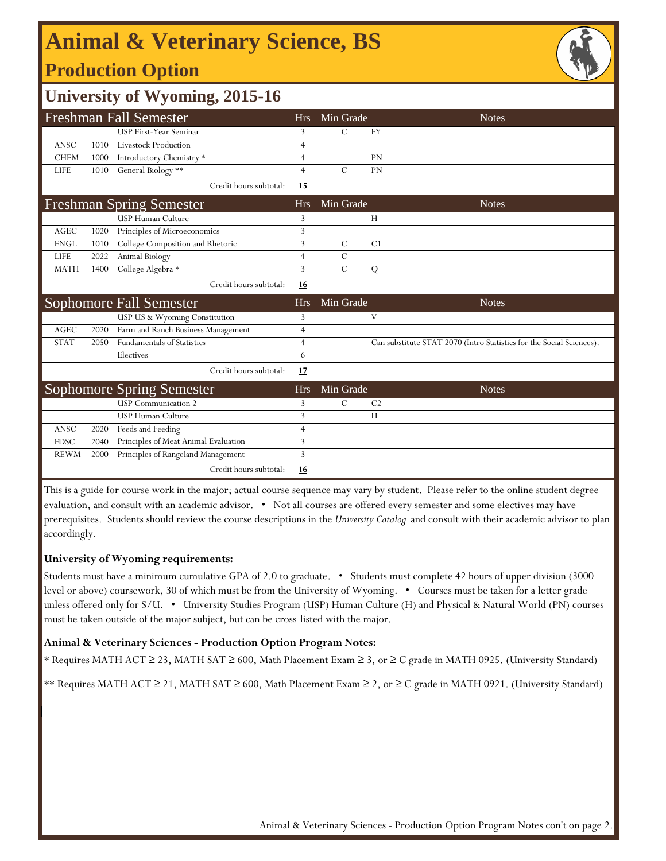# **Animal & Veterinary Science, BS**

## **Production Option**



### **University of Wyoming, 2015-16**

| <b>Freshman Fall Semester</b> |      |                                      | <b>Hrs</b>     | Min Grade     |                | <b>Notes</b>                                                         |
|-------------------------------|------|--------------------------------------|----------------|---------------|----------------|----------------------------------------------------------------------|
|                               |      | <b>USP First-Year Seminar</b>        | 3              | C             | FY             |                                                                      |
| <b>ANSC</b>                   | 1010 | <b>Livestock Production</b>          | 4              |               |                |                                                                      |
| <b>CHEM</b>                   | 1000 | Introductory Chemistry *             | $\overline{4}$ |               | <b>PN</b>      |                                                                      |
| <b>LIFE</b>                   | 1010 | General Biology **                   | $\overline{4}$ | $\mathcal{C}$ | PN             |                                                                      |
|                               |      | Credit hours subtotal:               | 15             |               |                |                                                                      |
|                               |      | <b>Freshman Spring Semester</b>      | <b>Hrs</b>     | Min Grade     |                | <b>Notes</b>                                                         |
|                               |      | <b>USP Human Culture</b>             | 3              |               | Н              |                                                                      |
| <b>AGEC</b>                   | 1020 | Principles of Microeconomics         | 3              |               |                |                                                                      |
| <b>ENGL</b>                   | 1010 | College Composition and Rhetoric     | 3              | $\mathcal{C}$ | C <sub>1</sub> |                                                                      |
| <b>LIFE</b>                   | 2022 | Animal Biology                       | 4              | $\mathcal{C}$ |                |                                                                      |
| <b>MATH</b>                   | 1400 | College Algebra *                    | 3              | $\mathcal{C}$ | Q              |                                                                      |
|                               |      | Credit hours subtotal:               | <b>16</b>      |               |                |                                                                      |
|                               |      |                                      |                |               |                |                                                                      |
|                               |      | Sophomore Fall Semester              | <b>Hrs</b>     | Min Grade     |                | <b>Notes</b>                                                         |
|                               |      | USP US & Wyoming Constitution        | 3              |               | V              |                                                                      |
| <b>AGEC</b>                   | 2020 | Farm and Ranch Business Management   | 4              |               |                |                                                                      |
| <b>STAT</b>                   | 2050 | <b>Fundamentals of Statistics</b>    | 4              |               |                | Can substitute STAT 2070 (Intro Statistics for the Social Sciences). |
|                               |      | Electives                            | 6              |               |                |                                                                      |
|                               |      | Credit hours subtotal:               | 17             |               |                |                                                                      |
|                               |      | <b>Sophomore Spring Semester</b>     | <b>Hrs</b>     | Min Grade     |                | <b>Notes</b>                                                         |
|                               |      | <b>USP</b> Communication 2           | 3              | $\mathcal{C}$ | C <sub>2</sub> |                                                                      |
|                               |      | <b>USP Human Culture</b>             | 3              |               | H              |                                                                      |
| <b>ANSC</b>                   | 2020 | Feeds and Feeding                    | $\overline{4}$ |               |                |                                                                      |
| <b>FDSC</b>                   | 2040 | Principles of Meat Animal Evaluation | 3              |               |                |                                                                      |
| <b>REWM</b>                   | 2000 | Principles of Rangeland Management   | 3              |               |                |                                                                      |

This is a guide for course work in the major; actual course sequence may vary by student. Please refer to the online student degree evaluation, and consult with an academic advisor. • Not all courses are offered every semester and some electives may have prerequisites. Students should review the course descriptions in the *University Catalog* and consult with their academic advisor to plan accordingly.

#### **University of Wyoming requirements:**

Students must have a minimum cumulative GPA of 2.0 to graduate. • Students must complete 42 hours of upper division (3000 level or above) coursework, 30 of which must be from the University of Wyoming. • Courses must be taken for a letter grade unless offered only for S/U. • University Studies Program (USP) Human Culture (H) and Physical & Natural World (PN) courses must be taken outside of the major subject, but can be cross-listed with the major.

#### **Animal & Veterinary Sciences - Production Option Program Notes:**

\* Requires MATH ACT ≥ 23, MATH SAT ≥ 600, Math Placement Exam ≥ 3, or ≥ C grade in MATH 0925. (University Standard)

\*\* Requires MATH ACT ≥ 21, MATH SAT ≥ 600, Math Placement Exam ≥ 2, or ≥ C grade in MATH 0921. (University Standard)